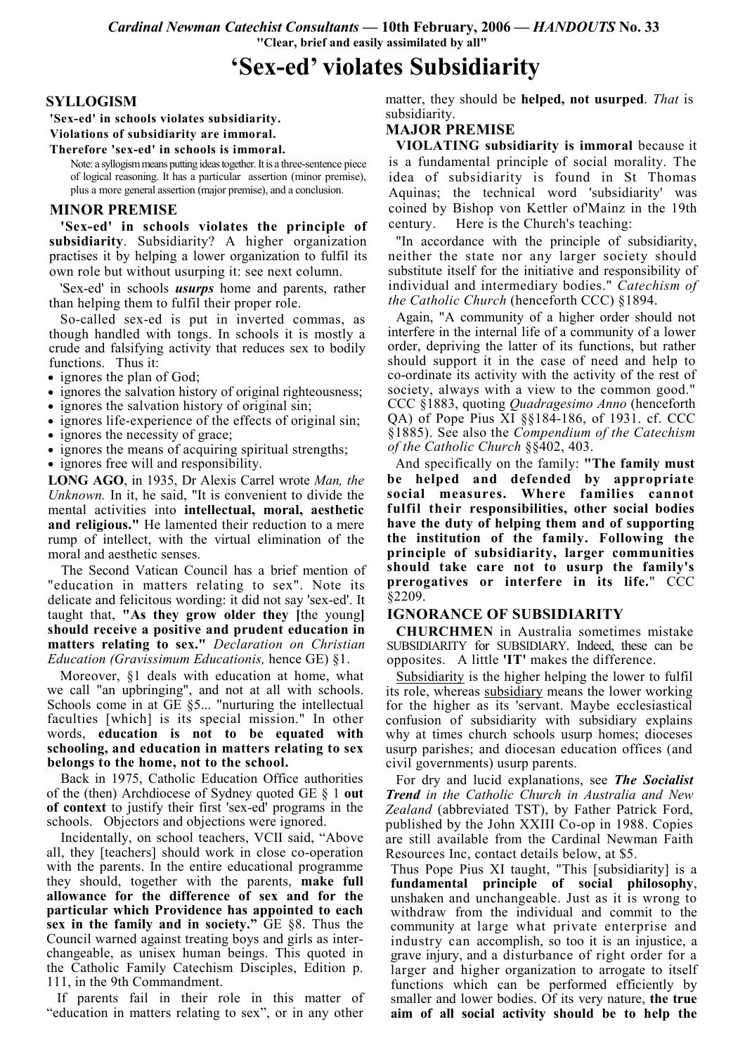Cardinal Newman Catechist Consultants — 10th February, 2006 — HANDOUTS No. 33 "Clear, brief and easily assimilated by all"

# 'Sex-ed' violates Subsidiarity

#### **SYLLOGISM**

'Sex-ed' in schools violates subsidiarity. Violations of subsidiarity are immoral.

Therefore 'sex-ed' in schools is immoral.

Note: a syllogism means putting ideas together. It is a three-sentence piece of logical reasoning. It has a particular assertion (minor premise), plus a more general assertion (major premise), and a conclusion.

## **MINOR PREMISE**

'Sex-ed' in schools violates the principle of subsidiarity. Subsidiarity? A higher organization practises it by helping a lower organization to fulfil its own role but without usurping it: see next column.

'Sex-ed' in schools *usurps* home and parents, rather than helping them to fulfil their proper role.

So-called sex-ed is put in inverted commas, as though handled with tongs. In schools it is mostly a crude and falsifying activity that reduces sex to bodily functions. Thus it:

- ignores the plan of God;
- ignores the salvation history of original righteousness;
- ignores the salvation history of original sin;
- ignores life-experience of the effects of original sin;
- ignores the necessity of grace;
- ignores the means of acquiring spiritual strengths;
- ignores free will and responsibility.

**LONG AGO**, in 1935, Dr Alexis Carrel wrote Man, the *Unknown*. In it, he said, "It is convenient to divide the mental activities into **intellectual**, moral, aesthetic and religious." He lamented their reduction to a mere rump of intellect, with the virtual elimination of the moral and aesthetic senses.

The Second Vatican Council has a brief mention of "education in matters relating to sex". Note its delicate and felicitous wording: it did not say 'sex-ed'. It taught that. "As they grow older they like young should receive a positive and prudent education in matters relating to sex." Declaration on Christian<br>Education (Gravissimum Educationis, hence GE) §1.

Moreover, §1 deals with education at home, what we call "an upbringing", and not at all with schools. Schools come in at  $GE$  §5... "nurturing the intellectual faculties [which] is its special mission." In other words, education is not to be equated with schooling, and education in matters relating to sex belongs to the home, not to the school.

Back in 1975, Catholic Education Office authorities of the (then) Archdiocese of Sydney quoted GE  $\S$  1 out of context to justify their first 'sex-ed' programs in the schools. Objectors and objections were ignored.

Incidentally, on school teachers, VCII said, "Above all, they [teachers] should work in close co-operation with the parents. In the entire educational programme they should, together with the parents, make full allowance for the difference of sex and for the particular which Providence has appointed to each sex in the family and in society." GE §8. Thus the Council warned against treating boys and girls as interchangeable, as unisex human beings. This quoted in the Catholic Family Catechism Disciples, Edition p. 111, in the 9th Commandment.

If parents fail in their role in this matter of "education in matters relating to sex", or in any other

matter, they should be helped, not usurped. That is subsidiarity.

# **MAJOR PREMISE**

VIOLATING subsidiarity is immoral because it is a fundamental principle of social morality. The idea of subsidiarity is found in St Thomas Aguinas; the technical word 'subsidiarity' was coined by Bishop von Kettler of Mainz in the 19th century. Here is the Church's teaching:

"In accordance with the principle of subsidiarity, neither the state nor any larger society should substitute itself for the initiative and responsibility of individual and intermediary bodies." Catechism of *the Catholic Church* (henceforth CCC) §1894.

Again, "A community of a higher order should not interfere in the internal life of a community of a lower order, depriving the latter of its functions, but rather should support it in the case of need and help to co-ordinate its activity with the activity of the rest of society, always with a view to the common good." CCC §1883, quoting *Quadragesimo Anno* (henceforth QA) of Pope Pius XI §§184-186, of 1931. cf. CCC §1885). See also the Compendium of the Catechism of the Catholic Church §§402, 403.

And specifically on the family: "The family must be helped and defended by appropriate social measures. Where families cannot fulfil their responsibilities, other social bodies have the duty of helping them and of supporting the institution of the family. Following the principle of subsidiarity, larger communities should take care not to usurp the family's prerogatives or interfere in its life." CCC  $§2209.$ 

## **IGNORANCE OF SUBSIDIARITY**

**CHURCHMEN** in Australia sometimes mistake SUBSIDIARITY for SUBSIDIARY. Indeed, these can be opposites. A little 'IT' makes the difference.

Subsidiarity is the higher helping the lower to fulfil its role, whereas subsidiary means the lower working for the higher as its 'servant. Maybe ecclesiastical confusion of subsidiarity with subsidiary explains why at times church schools usurp homes; dioceses usurp parishes; and diocesan education offices (and civil governments) usurp parents.

For dry and lucid explanations, see The Socialist **Trend** in the Catholic Church in Australia and New Zealand (abbreviated TST), by Father Patrick Ford, published by the John XXIII Co-op in 1988. Copies are still available from the Cardinal Newman Faith Resources Inc. contact details below, at \$5.

Thus Pope Pius XI taught, "This [subsidiarity] is a fundamental principle of social philosophy, unshaken and unchangeable. Just as it is wrong to withdraw from the individual and commit to the community at large what private enterprise and industry can accomplish, so too it is an injustice, a grave injury, and a disturbance of right order for a larger and higher organization to arrogate to itself functions which can be performed efficiently by smaller and lower bodies. Of its very nature, the true aim of all social activity should be to help the